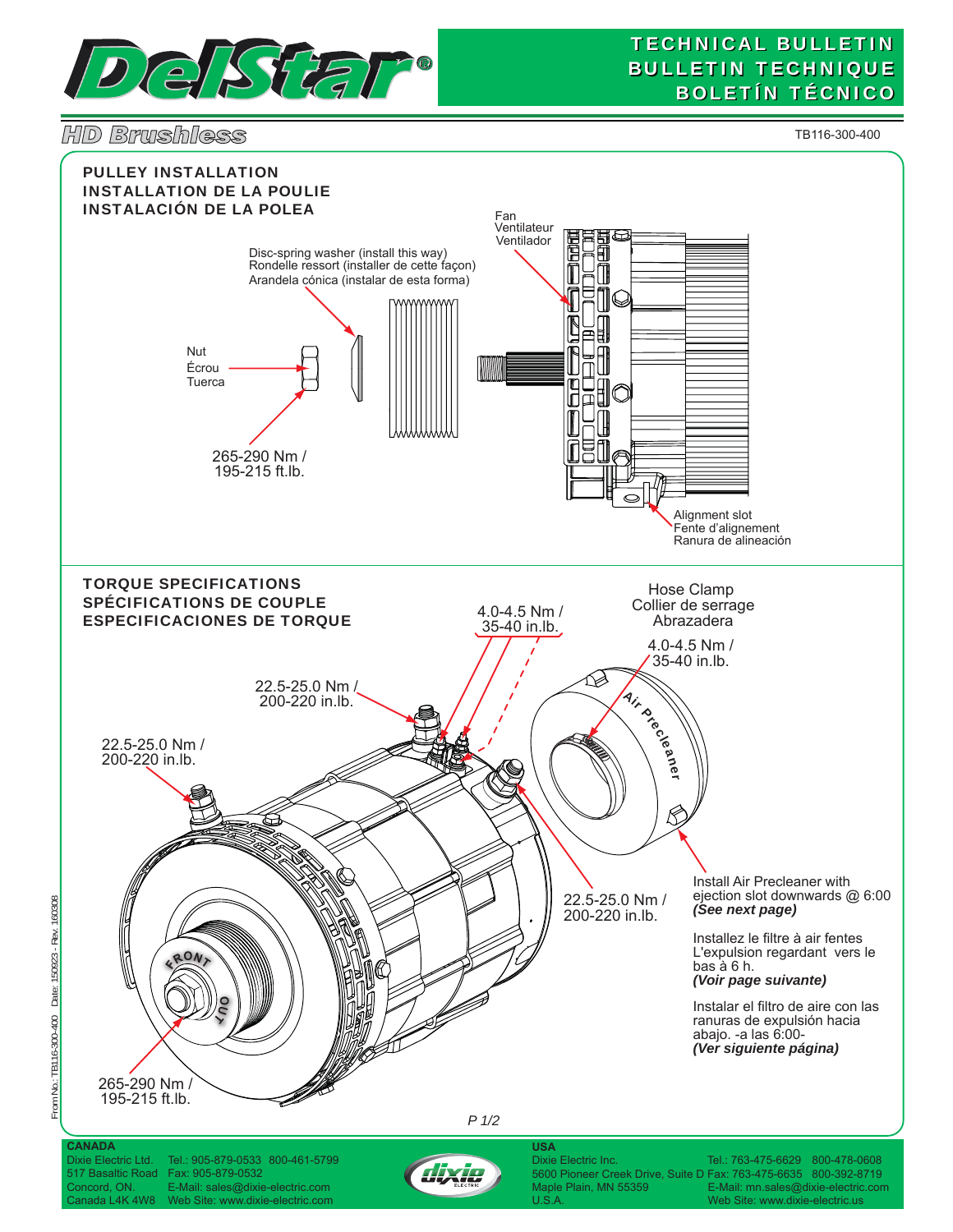

## **TECHNICAL BULLETIN BULLETIN TECHNIQUE BOLETÍN TÉCNICO**

*HD Brushless*

From No.: TB116-300-400 Date: 150923 - Rev. 160308

From No.: TB116-300-400 Date: 150923 - Rev. 160308

TB116-300-400